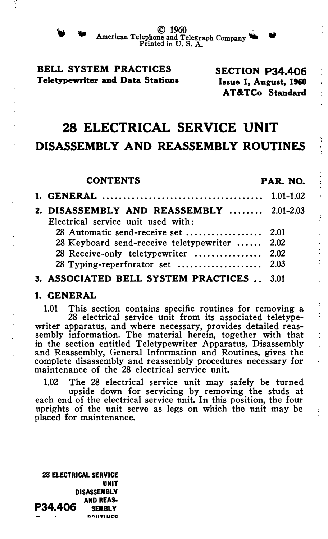

 $\bullet$  American Telephone and Telephone C American Telephone and Telegraph Company

## BELL SYSTEM PRACTICES Teletypewriter and Data Stations

SECTION P34.406 Issue 1, August, 1960 AT&TCo Standard

# 28 ELECTRICAL SERVICE UNIT DISASSEMBLY AND REASSEMBLY ROUTINES

| <b>CONTENTS</b> |                                                                                       | PAR. NO. |  |
|-----------------|---------------------------------------------------------------------------------------|----------|--|
|                 |                                                                                       |          |  |
|                 | 2. DISASSEMBLY AND REASSEMBLY  2.01-2.03<br>Electrical service unit used with:        |          |  |
|                 | 28 Keyboard send-receive teletypewriter  2.02<br>28 Receive-only teletypewriter  2.02 |          |  |
|                 | 3. ASSOCIATED BELL SYSTEM PRACTICES . 3.01                                            |          |  |

#### 1. GENERAL

1.01 This section contains specific routines for removing a 28 electrical service unit from its associated teletypewriter apparatus, and where necessary, provides detailed reassembly information. The material herein, together with that in the section entitled Teletypewriter Apparatus, Disassembly and Reassembly, General Information and Routines, gives the complete disassembly and reassembly procedures necessary for maintenance of the 28 electrical service unit.

1.02 The 28 electrical service unit may safely be turned upside down for servicing by removing the studs at each end of the electrical service unit. In this position, the four uprights of the unit serve as legs on which the unit may be placed for maintenance.

28 ELECTRICAL SERVICE UNIT DISASSEMBLY<br>-AND REAS  $P34.406$  SEMBLY nntt'l"lll�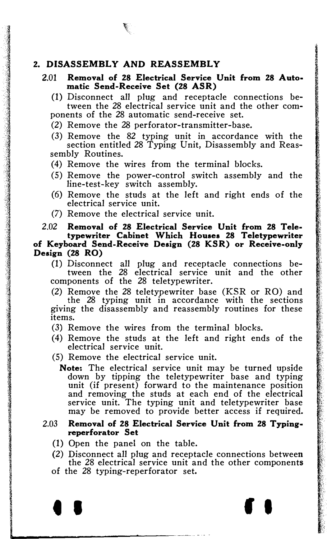### 2. DISASSEMBLY AND REASSEMBLY

- 2.01 Removal of 28 Electrical Service Unit from 28 Auto• matic Send-Receive Set (28 ASR)
	- (1) Disconnect all plug and receptacle connections between the 28 electrical service unit and the other components of the 28 automatic send-receive set.
	- (2) Remove the 28 perforator-transmitter-base.
	- (3) Remove the 82 typing unit in accordance with the section entitled 28 Typing Unit, Disassembly and Reassembly Routines.
	- (4) Remove the wires from the terminal blocks.
	- (5) Remove the power-control switch assembly and the line-test-key switch assembly.
	- (6) Remove the studs at the left and right ends of the electrical service unit.
	- (7) Remove the electrical service unit.

2.02 Removal of 28 Electrical Service Unit from 28 Tele· typewriter Cabinet Which Houses 28 Teletypewriter of Keyboard Send-Receive Design (28 KSR) or Receive-only Design (28 RO)

(1) Disconnect all plug and receptacle connections between the 28 electrical service unit and the other components of the 28 teletypewriter.

(2) Remove the 28 teletypewriter base (KSR or RO) and the 28 typing unit in accordance with the sections giving the disassembly and reassembly routines for these items.

- (3) Remove the wires from the terminal blocks.
- (4) Remove the studs at the left and right ends of the electrical service unit.
- (5) Remove the electrical service unit.
	- Note: The electrical service unit may be turned upside down by tipping the teletypewriter base and typing unit (if present) forward to the maintenance position and removing the studs at each end of the electrical service unit. The typing unit and teletypewriter base may be removed to provide better access if required.

#### 2.03 Removal of 28 Electrical Service Unit from 28 Typing• reperforator Set

- (1) Open the panel on the table.
- (2) Disconnect all plug and receptacle connections between the 28 electrical service unit and the other components
- of the 28 typing-reperforator set.

l

• • f I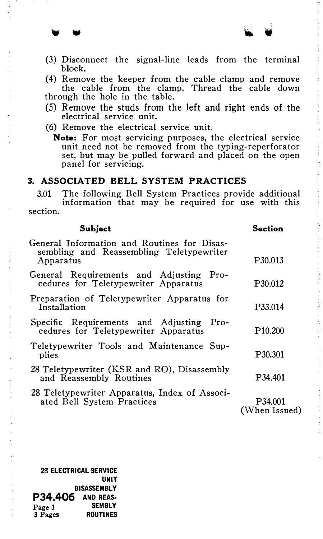(3) Disconnect the signal-line leads from the terminal block.

(4) Remove the keeper from the cable clamp and remove the cable from the clamp. Thread the cable down through the hole in the table.

- (5) Remove the studs from the left and right ends of the electrical service unit.
- (6) Remove the electrical service unit.
	- Note: For most servicing purposes, the electrical service unit need not be removed from the typing-reperforator set, but may be pulled forward and placed on the open panel for servicing.

#### 3. ASSOCIATED BELL SYSTEM PRACTICES

3.01 The following Bell System Practices provide additional information that may be required for use with this section.

| <b>Subject</b>                                                                                       | Section                  |
|------------------------------------------------------------------------------------------------------|--------------------------|
| General Information and Routines for Disas-<br>sembling and Reassembling Teletypewriter<br>Apparatus | P <sub>30.013</sub>      |
| General Requirements and Adjusting Pro-<br>cedures for Teletypewriter Apparatus                      | P <sub>30.012</sub>      |
| Preparation of Teletypewriter Apparatus for<br>Installation                                          | P33.014                  |
| Specific Requirements and Adjusting Pro-<br>cedures for Teletypewriter Apparatus                     | P <sub>10.200</sub>      |
| Teletypewriter Tools and Maintenance Sup-<br>plies                                                   | P30.301                  |
| 28 Teletypewriter (KSR and RO), Disassembly<br>and Reassembly Routines                               | P34.401                  |
| 28 Teletypewriter Apparatus, Index of Associ-<br>ated Bell System Practices                          | P34.001<br>(When Issued) |

28 ELECTRICAL SERVICE UNIT DISASSEMBLY **P34.406** AND REAS-<br>Page 3 SEMBLY Page 3<br>3 Pages **ROUTINES**